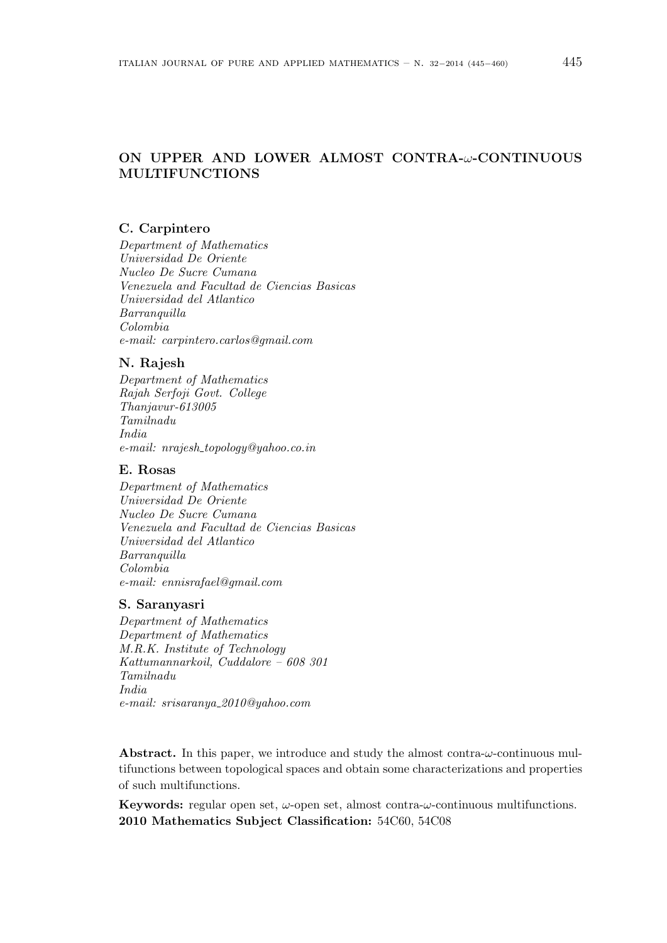# **ON UPPER AND LOWER ALMOST CONTRA-***ω***-CONTINUOUS MULTIFUNCTIONS**

# **C. Carpintero**

*Department of Mathematics Universidad De Oriente Nucleo De Sucre Cumana Venezuela and Facultad de Ciencias Basicas Universidad del Atlantico Barranquilla Colombia e-mail: carpintero.carlos@gmail.com*

# **N. Rajesh**

*Department of Mathematics Rajah Serfoji Govt. College Thanjavur-613005 Tamilnadu India e-mail: nrajesh topology@yahoo.co.in*

## **E. Rosas**

*Department of Mathematics Universidad De Oriente Nucleo De Sucre Cumana Venezuela and Facultad de Ciencias Basicas Universidad del Atlantico Barranquilla Colombia e-mail: ennisrafael@gmail.com*

#### **S. Saranyasri**

*Department of Mathematics Department of Mathematics M.R.K. Institute of Technology Kattumannarkoil, Cuddalore – 608 301 Tamilnadu India e-mail: srisaranya 2010@yahoo.com*

**Abstract.** In this paper, we introduce and study the almost contra-*ω*-continuous multifunctions between topological spaces and obtain some characterizations and properties of such multifunctions.

**Keywords:** regular open set, *ω*-open set, almost contra-*ω*-continuous multifunctions. **2010 Mathematics Subject Classification:** 54C60, 54C08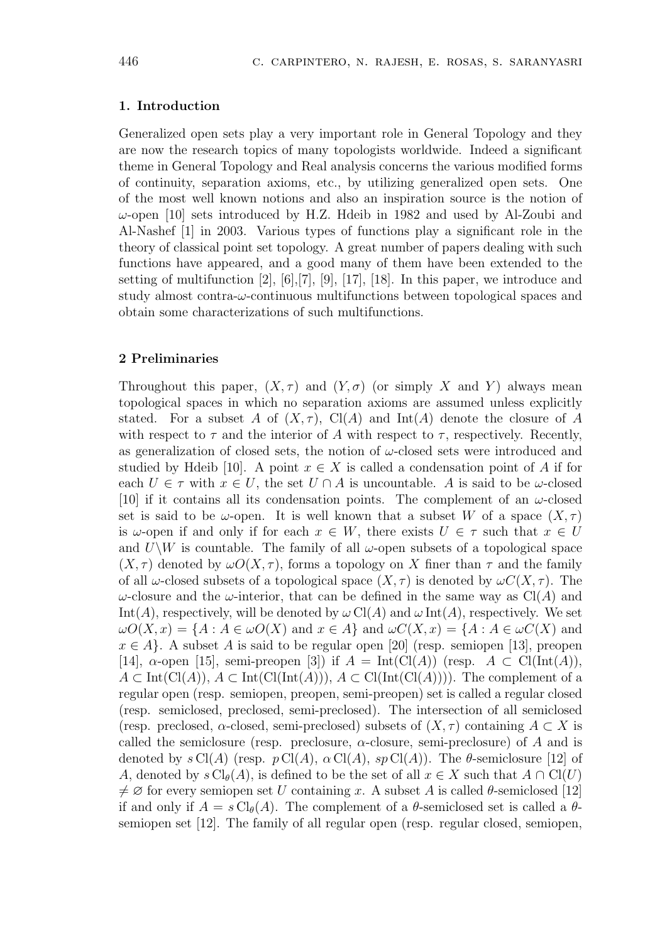# **1. Introduction**

Generalized open sets play a very important role in General Topology and they are now the research topics of many topologists worldwide. Indeed a significant theme in General Topology and Real analysis concerns the various modified forms of continuity, separation axioms, etc., by utilizing generalized open sets. One of the most well known notions and also an inspiration source is the notion of *ω*-open [10] sets introduced by H.Z. Hdeib in 1982 and used by Al-Zoubi and Al-Nashef [1] in 2003. Various types of functions play a significant role in the theory of classical point set topology. A great number of papers dealing with such functions have appeared, and a good many of them have been extended to the setting of multifunction [2], [6],[7], [9], [17], [18]. In this paper, we introduce and study almost contra-*ω*-continuous multifunctions between topological spaces and obtain some characterizations of such multifunctions.

# **2 Preliminaries**

Throughout this paper,  $(X, \tau)$  and  $(Y, \sigma)$  (or simply X and Y) always mean topological spaces in which no separation axioms are assumed unless explicitly stated. For a subset *A* of  $(X, \tau)$ , Cl(*A*) and Int(*A*) denote the closure of *A* with respect to  $\tau$  and the interior of A with respect to  $\tau$ , respectively. Recently, as generalization of closed sets, the notion of *ω*-closed sets were introduced and studied by Hdeib [10]. A point  $x \in X$  is called a condensation point of A if for each  $U \in \tau$  with  $x \in U$ , the set  $U \cap A$  is uncountable. A is said to be  $\omega$ -closed [10] if it contains all its condensation points. The complement of an *ω*-closed set is said to be *ω*-open. It is well known that a subset *W* of a space  $(X, \tau)$ is  $\omega$ -open if and only if for each  $x \in W$ , there exists  $U \in \tau$  such that  $x \in U$ and  $U\$ *W* is countable. The family of all  $\omega$ -open subsets of a topological space  $(X, \tau)$  denoted by  $\omega O(X, \tau)$ , forms a topology on X finer than  $\tau$  and the family of all *ω*-closed subsets of a topological space  $(X, \tau)$  is denoted by  $\omega C(X, \tau)$ . The *ω*-closure and the *ω*-interior, that can be defined in the same way as  $Cl(A)$  and Int(*A*), respectively, will be denoted by  $\omega$  Cl(*A*) and  $\omega$  Int(*A*), respectively. We set  $\omega O(X, x) = \{A : A \in \omega O(X) \text{ and } x \in A\}$  and  $\omega C(X, x) = \{A : A \in \omega C(X) \text{ and } x \in A\}$  $x \in A$ <sup>}</sup>. A subset *A* is said to be regular open [20] (resp. semiopen [13], preopen [14],  $\alpha$ -open [15], semi-preopen [3]) if  $A = \text{Int}(\text{Cl}(A))$  (resp.  $A \subset \text{Cl}(\text{Int}(A)),$ *A* ⊂ Int(Cl(*A*)), *A* ⊂ Int(Cl(Int(*A*))), *A* ⊂ Cl(Int(Cl(*A*)))). The complement of a regular open (resp. semiopen, preopen, semi-preopen) set is called a regular closed (resp. semiclosed, preclosed, semi-preclosed). The intersection of all semiclosed (resp. preclosed, *α*-closed, semi-preclosed) subsets of  $(X, \tau)$  containing  $A \subset X$  is called the semiclosure (resp. preclosure, *α*-closure, semi-preclosure) of *A* and is denoted by  $s \text{Cl}(A)$  (resp.  $p \text{Cl}(A)$ ,  $\alpha \text{Cl}(A)$ ,  $sp \text{Cl}(A)$ ). The  $\theta$ -semiclosure [12] of *A*, denoted by  $s \text{Cl}_{\theta}(A)$ , is defined to be the set of all  $x \in X$  such that  $A \cap \text{Cl}(U)$  $\neq \emptyset$  for every semiopen set *U* containing *x*. A subset *A* is called *θ*-semiclosed [12] if and only if  $A = s \text{Cl}_{\theta}(A)$ . The complement of a  $\theta$ -semiclosed set is called a  $\theta$ semiopen set [12]. The family of all regular open (resp. regular closed, semiopen,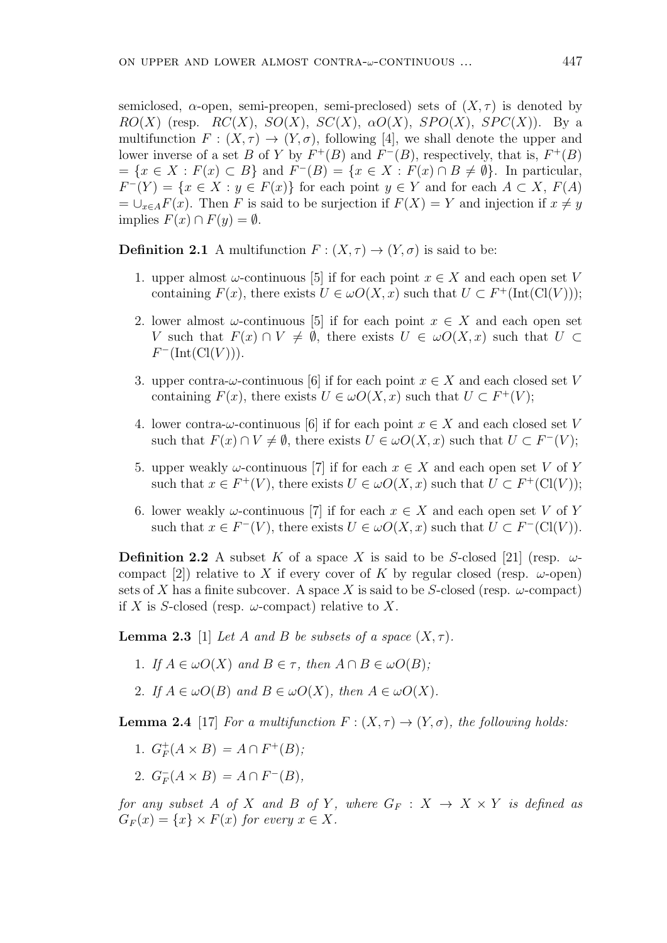semiclosed,  $\alpha$ -open, semi-preopen, semi-preclosed) sets of  $(X, \tau)$  is denoted by  $RO(X)$  (resp.  $RC(X)$ ,  $SO(X)$ ,  $SC(X)$ ,  $\alpha O(X)$ ,  $SPO(X)$ ,  $SPC(X)$ ). By a multifunction  $F: (X, \tau) \to (Y, \sigma)$ , following [4], we shall denote the upper and lower inverse of a set *B* of *Y* by  $F^+(B)$  and  $F^-(B)$ , respectively, that is,  $F^+(B)$  $=\{x\in X: F(x)\subset B\}$  and  $F^{-}(B)=\{x\in X: F(x)\cap B\neq\emptyset\}$ . In particular,  $F^{-}(Y) = \{x \in X : y \in F(x)\}$  for each point  $y \in Y$  and for each  $A \subset X$ ,  $F(A)$  $= \bigcup_{x \in A} F(x)$ . Then *F* is said to be surjection if  $F(X) = Y$  and injection if  $x \neq y$ implies  $F(x) ∩ F(y) = ∅$ .

**Definition 2.1** A multifunction  $F : (X, \tau) \to (Y, \sigma)$  is said to be:

- 1. upper almost  $\omega$ -continuous [5] if for each point  $x \in X$  and each open set *V* containing  $F(x)$ , there exists  $U \in \omega O(X, x)$  such that  $U \subset F^+(\text{Int}(\text{Cl}(V)))$ ;
- 2. lower almost  $\omega$ -continuous [5] if for each point  $x \in X$  and each open set *V* such that  $F(x) \cap V \neq \emptyset$ , there exists  $U \in \omega O(X, x)$  such that  $U \subset$ *F <sup>−</sup>*(Int(Cl(*V* ))).
- 3. upper contra- $\omega$ -continuous [6] if for each point  $x \in X$  and each closed set V containing  $F(x)$ , there exists  $U \in \omega O(X, x)$  such that  $U \subset F^+(V)$ ;
- 4. lower contra- $\omega$ -continuous [6] if for each point  $x \in X$  and each closed set *V* such that  $F(x) \cap V \neq \emptyset$ , there exists  $U \in \omegaO(X, x)$  such that  $U \subset F^{-}(V)$ ;
- 5. upper weakly  $\omega$ -continuous [7] if for each  $x \in X$  and each open set V of Y such that  $x \in F^+(V)$ , there exists  $U \in \omega O(X, x)$  such that  $U \subset F^+(Cl(V))$ ;
- 6. lower weakly  $\omega$ -continuous [7] if for each  $x \in X$  and each open set V of Y such that  $x \in F^{-}(V)$ , there exists  $U \in \omega O(X, x)$  such that  $U \subset F^{-}(Cl(V))$ .

**Definition 2.2** A subset *K* of a space *X* is said to be *S*-closed [21] (resp.  $\omega$ compact [2]) relative to *X* if every cover of *K* by regular closed (resp.  $\omega$ -open) sets of *X* has a finite subcover. A space *X* is said to be *S*-closed (resp.  $\omega$ -compact) if *X* is *S*-closed (resp.  $\omega$ -compact) relative to *X*.

**Lemma 2.3** [1] *Let A and B be subsets of a space*  $(X, \tau)$ *.* 

- 1*. If*  $A \in \omega O(X)$  and  $B \in \tau$ , then  $A \cap B \in \omega O(B)$ ;
- 2*. If*  $A \in \omega O(B)$  *and*  $B \in \omega O(X)$ *, then*  $A \in \omega O(X)$ *.*

**Lemma 2.4** [17] *For a multifunction*  $F: (X, \tau) \to (Y, \sigma)$ *, the following holds:* 

- 1*.*  $G_F^+$  $F^+$ (*A* × *B*) = *A*  $\cap$  *F*<sup>+</sup>(*B*)*;*
- 2*.*  $G_F^-(A \times B) = A \cap F^-(B)$ ,

*for any subset A of X and B of Y*, where  $G_F : X \to X \times Y$  *is defined as*  $G_F(x) = \{x\} \times F(x)$  *for every*  $x \in X$ .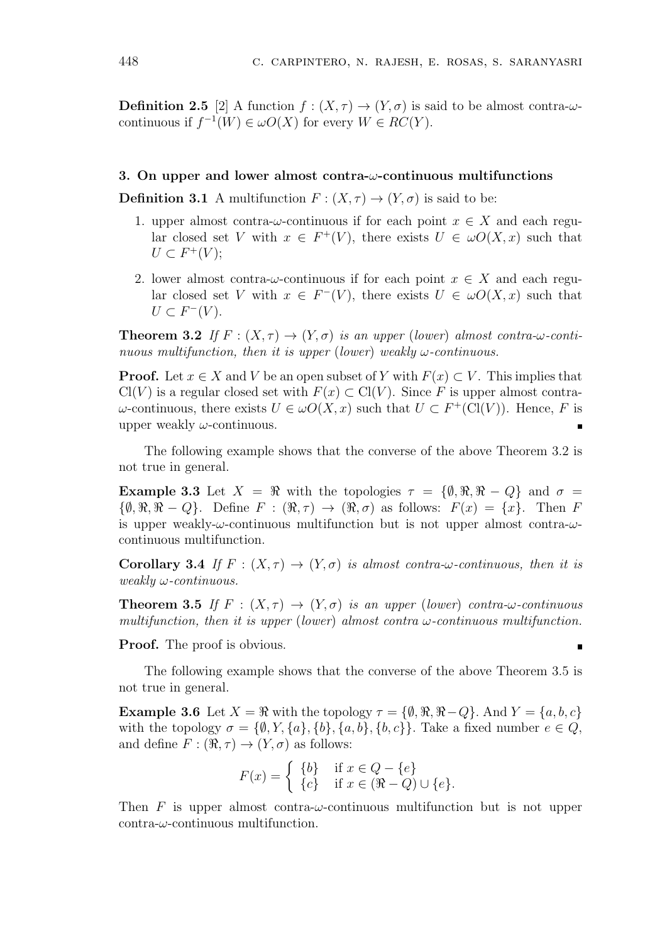**Definition 2.5** [2] A function  $f : (X, \tau) \to (Y, \sigma)$  is said to be almost contra- $\omega$ continuous if  $f^{-1}(W) \in \omega O(X)$  for every  $W \in RC(Y)$ .

## **3. On upper and lower almost contra-***ω***-continuous multifunctions**

**Definition 3.1** A multifunction  $F : (X, \tau) \to (Y, \sigma)$  is said to be:

- 1. upper almost contra- $\omega$ -continuous if for each point  $x \in X$  and each regular closed set *V* with  $x \in F^+(V)$ , there exists  $U \in \omega O(X, x)$  such that  $U \subset F^+(V);$
- 2. lower almost contra- $\omega$ -continuous if for each point  $x \in X$  and each regular closed set *V* with  $x \in F^{-}(V)$ , there exists  $U \in \omegaO(X, x)$  such that  $U \subset F^{-}(V)$ .

**Theorem 3.2** *If*  $F : (X, \tau) \to (Y, \sigma)$  *is an upper* (*lower*) *almost contra-* $\omega$ *-continuous multifunction, then it is upper* (*lower*) *weakly ω-continuous.*

**Proof.** Let  $x \in X$  and  $V$  be an open subset of  $Y$  with  $F(x) \subset V$ . This implies that  $Cl(V)$  is a regular closed set with  $F(x) \subset Cl(V)$ . Since F is upper almost contra*ω*-continuous, there exists *U*  $\in \omega O(X, x)$  such that *U* ⊂ *F*<sup>+</sup>(Cl(*V*)). Hence, *F* is upper weakly *ω*-continuous.

The following example shows that the converse of the above Theorem 3.2 is not true in general.

**Example 3.3** Let  $X = \Re$  with the topologies  $\tau = {\emptyset, \Re, \Re - Q}$  and  $\sigma =$  $\{\emptyset, \Re, \Re - Q\}$ . Define  $F : (\Re, \tau) \to (\Re, \sigma)$  as follows:  $F(x) = \{x\}$ . Then  $F$ is upper weakly-*ω*-continuous multifunction but is not upper almost contra-*ω*continuous multifunction.

**Corollary 3.4** *If*  $F : (X, \tau) \to (Y, \sigma)$  *is almost contra-* $\omega$ *-continuous, then it is weakly ω-continuous.*

**Theorem 3.5** *If*  $F : (X, \tau) \to (Y, \sigma)$  *is an upper* (*lower*) *contra-* $\omega$ *-continuous multifunction, then it is upper* (*lower*) *almost contra ω-continuous multifunction.*

**Proof.** The proof is obvious.

The following example shows that the converse of the above Theorem 3.5 is not true in general.

**Example 3.6** Let  $X = \Re$  with the topology  $\tau = \{\emptyset, \Re, \Re - Q\}$ . And  $Y = \{a, b, c\}$ with the topology  $\sigma = \{\emptyset, Y, \{a\}, \{b\}, \{a, b\}, \{b, c\}\}\$ . Take a fixed number  $e \in Q$ , and define  $F: (\Re, \tau) \to (Y, \sigma)$  as follows:

$$
F(x) = \begin{cases} \{b\} & \text{if } x \in Q - \{e\} \\ \{c\} & \text{if } x \in (\Re \setminus Q) \cup \{e\}. \end{cases}
$$

Then *F* is upper almost contra- $\omega$ -continuous multifunction but is not upper contra-*ω*-continuous multifunction.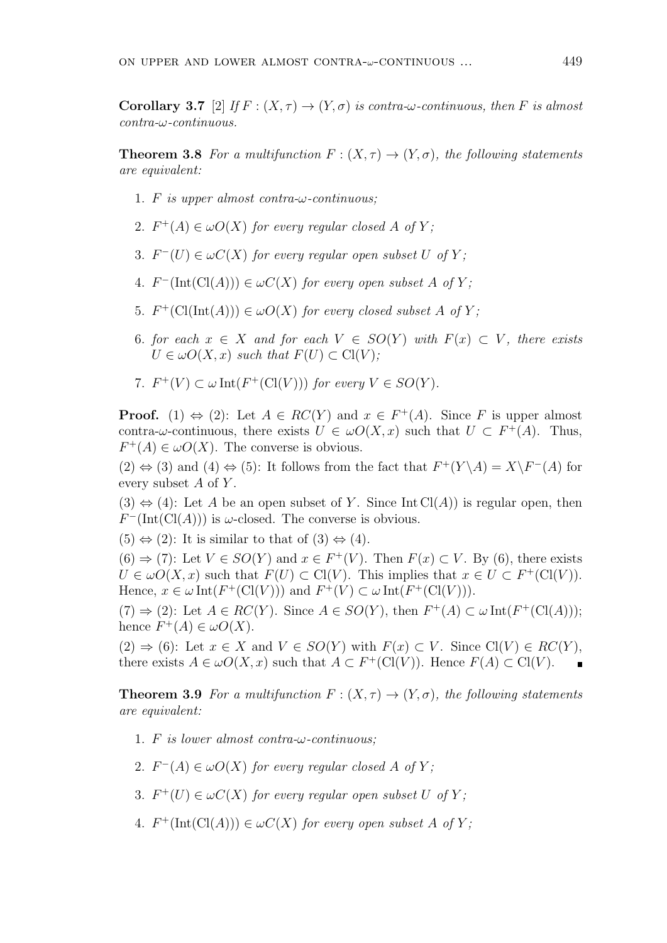**Corollary 3.7** [2] *If*  $F : (X, \tau) \to (Y, \sigma)$  *is contra-* $\omega$ -*continuous, then F is almost contra-ω-continuous.*

**Theorem 3.8** *For a multifunction*  $F: (X, \tau) \to (Y, \sigma)$ *, the following statements are equivalent:*

- 1*. F is upper almost contra-ω-continuous;*
- 2*.*  $F^+(A) \in \omega O(X)$  for every regular closed A of Y;
- *3.*  $F^{-}(U) \in \omega C(X)$  for every regular open subset *U* of *Y*;
- $4.$   $F<sup>−</sup>(Int(Cl(A))) \in \omega C(X)$  for every open subset A of Y;
- 5*.*  $F^+(Cl(Int(A))) \in \omega O(X)$  for every closed subset A of Y;
- 6*. for each x ∈ X and for each V ∈ SO*(*Y* ) *with F*(*x*) *⊂ V , there exists*  $U \in \omega O(X, x)$  *such that*  $F(U) \subset \mathrm{Cl}(V)$ ;
- 7.  $F^+(V) \subset \omega \operatorname{Int}(F^+(\mathrm{Cl}(V)))$  *for every*  $V \in SO(Y)$ *.*

**Proof.** (1)  $\Leftrightarrow$  (2): Let  $A \in RC(Y)$  and  $x \in F^+(A)$ . Since F is upper almost contra- $\omega$ -continuous, there exists  $U \in \omega O(X, x)$  such that  $U \subset F^+(A)$ . Thus,  $F^+(A) \in \omega O(X)$ . The converse is obvious.

 $(2)$  ⇔  $(3)$  and  $(4)$  ⇔  $(5)$ : It follows from the fact that  $F^+(Y \setminus A) = X \setminus F^-(A)$  for every subset *A* of *Y* .

 $(3) \Leftrightarrow (4)$ : Let *A* be an open subset of *Y*. Since Int Cl(*A*)) is regular open, then  $F^{-}(\text{Int}(\text{Cl}(A)))$  is *ω*-closed. The converse is obvious.

 $(5) \Leftrightarrow (2)$ : It is similar to that of  $(3) \Leftrightarrow (4)$ .

 $(6) \Rightarrow (7)$ : Let  $V \in SO(Y)$  and  $x \in F^+(V)$ . Then  $F(x) \subset V$ . By (6), there exists  $U \in \omega O(X, x)$  such that  $F(U) \subset \mathrm{Cl}(V)$ . This implies that  $x \in U \subset F^+(\mathrm{Cl}(V))$ . Hence,  $x \in \omega \text{Int}(F^+(\text{Cl}(V)))$  and  $F^+(V) \subset \omega \text{Int}(F^+(\text{Cl}(V))).$ 

(7)  $\Rightarrow$  (2): Let *A* ∈ *RC*(*Y*). Since *A* ∈ *SO*(*Y*), then  $F^+(A) \subset \omega$  Int( $F^+(Cl(A))$ ); hence  $F^+(A) \in \omega O(X)$ .

 $(2) \Rightarrow (6)$ : Let  $x \in X$  and  $V \in SO(Y)$  with  $F(x) \subset V$ . Since Cl(*V*)  $\in RC(Y)$ , there exists  $A \in \omega O(X, x)$  such that  $A \subset F^+(Cl(V))$ . Hence  $F(A) \subset Cl(V)$ .

**Theorem 3.9** *For a multifunction*  $F: (X, \tau) \to (Y, \sigma)$ *, the following statements are equivalent:*

- 1*. F is lower almost contra-ω-continuous;*
- $2.$   $F^{-}(A) \in \omega O(X)$  for every regular closed A of Y;
- 3*.*  $F^+(U) \in \omega C(X)$  for every regular open subset U of Y;
- 4*.*  $F^+$ (Int(Cl(*A*)))  $\in \omega C(X)$  *for every open subset A of Y*;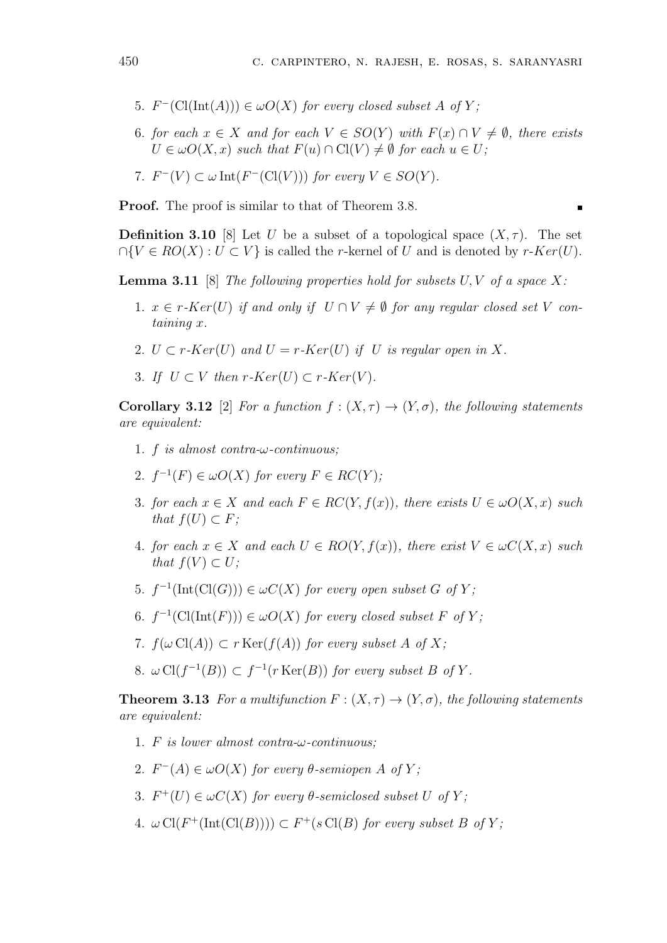- $5.$   $F^{-}(\text{Cl}(\text{Int}(A))) \in \omega O(X)$  for every closed subset A of Y;
- 6*. for each*  $x \in X$  *and for each*  $V \in SO(Y)$  *with*  $F(x) \cap V \neq \emptyset$ *, there exists*  $U \in \omega O(X, x)$  *such that*  $F(u) \cap \mathrm{Cl}(V) \neq \emptyset$  *for each*  $u \in U$ ;

7. 
$$
F^{-}(V) \subset \omega \operatorname{Int}(F^{-}(\mathrm{Cl}(V)))
$$
 for every  $V \in SO(Y)$ .

**Proof.** The proof is similar to that of Theorem 3.8.

**Definition 3.10** [8] Let *U* be a subset of a topological space  $(X, \tau)$ . The set  $∩{V ∈ RO(X) : U ⊂ V}$  is called the *r*-kernel of *U* and is denoted by *r*-*Ker*(*U*).

**Lemma 3.11** [8] *The following properties hold for subsets U, V of a space X:*

- 1*.*  $x \in r \cdot Ker(U)$  if and only if  $U \cap V \neq \emptyset$  for any regular closed set V con*taining x.*
- 2*.*  $U \subset r$ *-Ker*(*U*) and  $U = r$ *-Ker*(*U*) *if U is regular open in X.*
- 3*. If*  $U \subset V$  *then*  $r$ *-Ker* $(U) \subset r$ *-Ker* $(V)$ *.*

**Corollary 3.12** [2] *For a function*  $f : (X, \tau) \to (Y, \sigma)$ *, the following statements are equivalent:*

- 1*. f is almost contra-ω-continuous;*
- 2*.*  $f^{-1}(F) \in \omega O(X)$  for every  $F \in RC(Y)$ ;
- 3*. for each x ∈ X and each F ∈ RC*(*Y, f*(*x*))*, there exists U ∈ ωO*(*X, x*) *such that*  $f(U) \subset F$ ;
- 4*. for each*  $x \in X$  *and each*  $U \in RO(Y, f(x))$ *, there exist*  $V \in \omega C(X, x)$  *such that*  $f(V) \subset U$ ;
- 5.  $f^{-1}(\text{Int}(\text{Cl}(G))) \in \omega C(X)$  for every open subset G of Y;
- 6*.*  $f^{-1}(\text{Cl}(\text{Int}(F))) \in \omega O(X)$  *for every closed subset F of Y*;
- 7*.*  $f(\omega \text{Cl}(A)) \subset r \text{Ker}(f(A))$  *for every subset A of X;*
- 8*.*  $\omega$  Cl( $f^{-1}(B)$ ) ⊂  $f^{-1}(r$  Ker( $B$ )) *for every subset*  $B$  *of*  $Y$ *.*

**Theorem 3.13** *For a multifunction*  $F: (X, \tau) \to (Y, \sigma)$ *, the following statements are equivalent:*

- 1*. F is lower almost contra-ω-continuous;*
- 2*.*  $F^{-}(A) \in \omega O(X)$  for every  $\theta$ -semiopen  $A$  of  $Y$ ;
- 3*.*  $F^+(U) \in \omega C(X)$  for every  $\theta$ -semiclosed subset  $U$  of  $Y$ ;
- 4*.*  $\omega$  Cl( $F^+(\text{Int}(\text{Cl}(B)))) \subset F^+(s \text{Cl}(B)$  *for every subset*  $B$  *of*  $Y$ ;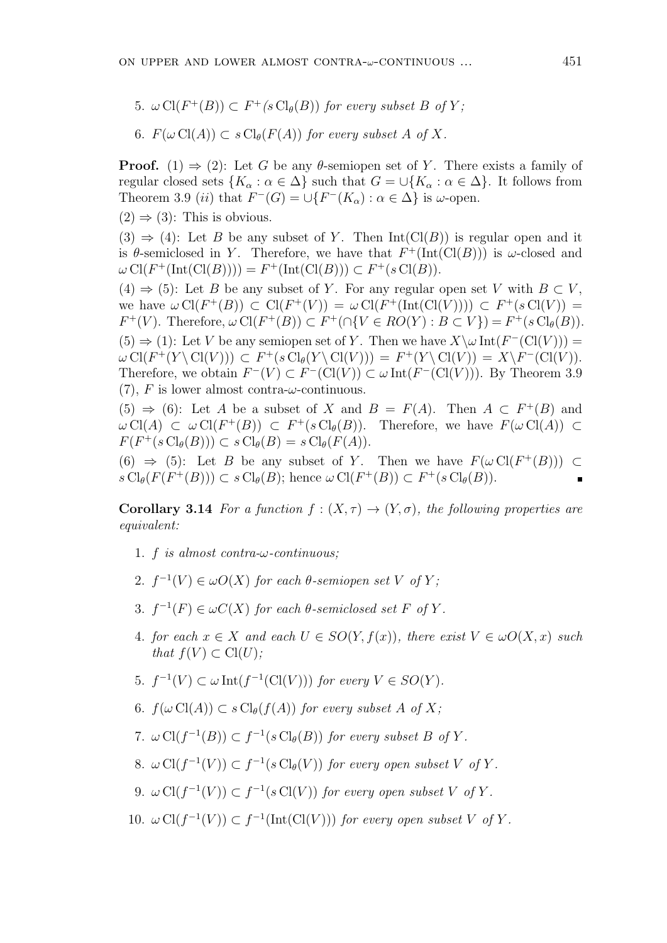5*.*  $\omega$  Cl( $F^+(B)$ )  $\subset F^+(s \text{Cl}_{\theta}(B))$  for every subset B of Y;

6. 
$$
F(\omega \text{Cl}(A)) \subset s\text{Cl}_{\theta}(F(A))
$$
 for every subset A of X.

**Proof.** (1)  $\Rightarrow$  (2): Let *G* be any *θ*-semiopen set of *Y*. There exists a family of regular closed sets  ${K_\alpha : \alpha \in \Delta}$  such that  $G = \bigcup {K_\alpha : \alpha \in \Delta}$ . It follows from Theorem 3.9 *(ii)* that  $F^{-}(G) = \cup \{F^{-}(K_{\alpha}) : \alpha \in \Delta\}$  is *w*-open.

 $(2) \Rightarrow (3)$ : This is obvious.

 $(3) \Rightarrow (4)$ : Let *B* be any subset of *Y*. Then Int(Cl(*B*)) is regular open and it is  $\theta$ -semiclosed in *Y*. Therefore, we have that  $F^+(\text{Int}(\text{Cl}(B)))$  is  $\omega$ -closed and  $\omega$  Cl( $F^+(\text{Int}(\text{Cl}(B)))) = F^+(\text{Int}(\text{Cl}(B))) \subset F^+(s\text{Cl}(B)).$ 

 $(4) \Rightarrow (5)$ : Let *B* be any subset of *Y*. For any regular open set *V* with  $B \subset V$ , we have  $\omega \operatorname{Cl}(F^+(B)) \subset \operatorname{Cl}(F^+(V)) = \omega \operatorname{Cl}(F^+(\text{Int}(\operatorname{Cl}(V)))) \subset F^+(s \operatorname{Cl}(V)) =$  $F^+(V)$ . Therefore,  $\omega \text{Cl}(F^+(B)) \subset F^+(\cap \{V \in RO(Y) : B \subset V\}) = F^+(s \text{Cl}_{\theta}(B)).$  $(5) \Rightarrow (1)$ : Let *V* be any semiopen set of *Y*. Then we have  $X \setminus \omega$  Int $(F^{-}(Cl(V)))$  =  $\omega \operatorname{Cl}(F^+(Y\backslash \operatorname{Cl}(V))) \subset F^+(s\operatorname{Cl}_{\theta}(Y\backslash \operatorname{Cl}(V))) = F^+(Y\backslash \operatorname{Cl}(V)) = X\backslash F^-(\operatorname{Cl}(V)).$ Therefore, we obtain  $F^{-}(V) \subset F^{-}(\mathrm{Cl}(V)) \subset \omega \mathrm{Int}(F^{-}(\mathrm{Cl}(V)))$ . By Theorem 3.9 (7), *F* is lower almost contra-*ω*-continuous.

 $(5) \Rightarrow (6)$ : Let *A* be a subset of *X* and *B* = *F*(*A*). Then *A*  $\subset$  *F*<sup>+</sup>(*B*) and  $\omega$  Cl(*A*)  $\subset \omega$  Cl(*F*<sup>+</sup>(*B*))  $\subset F^+(s \text{Cl}_{\theta}(B))$ . Therefore, we have  $F(\omega \text{Cl}(A)) \subset$  $F(F^+(s \operatorname{Cl}_{\theta}(B))) \subset s \operatorname{Cl}_{\theta}(B) = s \operatorname{Cl}_{\theta}(F(A)).$ 

(6)  $\Rightarrow$  (5): Let *B* be any subset of *Y*. Then we have  $F(\omega \operatorname{Cl}(F^+(B)))$  ⊂  $s \text{Cl}_{\theta}(F(F^+(B))) \subset s \text{Cl}_{\theta}(B)$ ; hence  $\omega \text{Cl}(F^+(B)) \subset F^+(s \text{Cl}_{\theta}(B))$ .

**Corollary 3.14** *For a function*  $f : (X, \tau) \rightarrow (Y, \sigma)$ *, the following properties are equivalent:*

- 1*. f is almost contra-ω-continuous;*
- 2*.*  $f^{-1}(V) \in \omega O(X)$  for each  $\theta$ -semiopen set  $V$  of  $Y$ ;
- 3*.*  $f^{-1}(F) \in \omega C(X)$  for each  $\theta$ -semiclosed set F of Y.
- 4*. for each*  $x \in X$  *and each*  $U \in SO(Y, f(x))$ *, there exist*  $V \in \omega O(X, x)$  *such that*  $f(V) \subset \mathrm{Cl}(U)$ *;*
- *5.*  $f^{-1}(V) \subset \omega \text{Int}(f^{-1}(\text{Cl}(V)))$  *for every*  $V \in SO(Y)$ *.*
- 6*.*  $f(\omega \operatorname{Cl}(A)) \subset s \operatorname{Cl}_{\theta}(f(A))$  *for every subset A of X;*
- 7*.*  $\omega$  Cl( $f^{-1}(B)$ )  $\subset f^{-1}(s \text{ Cl}_{\theta}(B))$  *for every subset B of Y*.
- 8.  $\omega \operatorname{Cl}(f^{-1}(V)) \subset f^{-1}(s \operatorname{Cl}_{\theta}(V))$  for every open subset V of Y.
- 9.  $\omega \operatorname{Cl}(f^{-1}(V)) \subset f^{-1}(s \operatorname{Cl}(V))$  for every open subset V of Y.
- 10*.*  $\omega$  Cl( $f^{-1}(V)$ ) ⊂  $f^{-1}(\text{Int}(\text{Cl}(V)))$  *for every open subset V of Y*.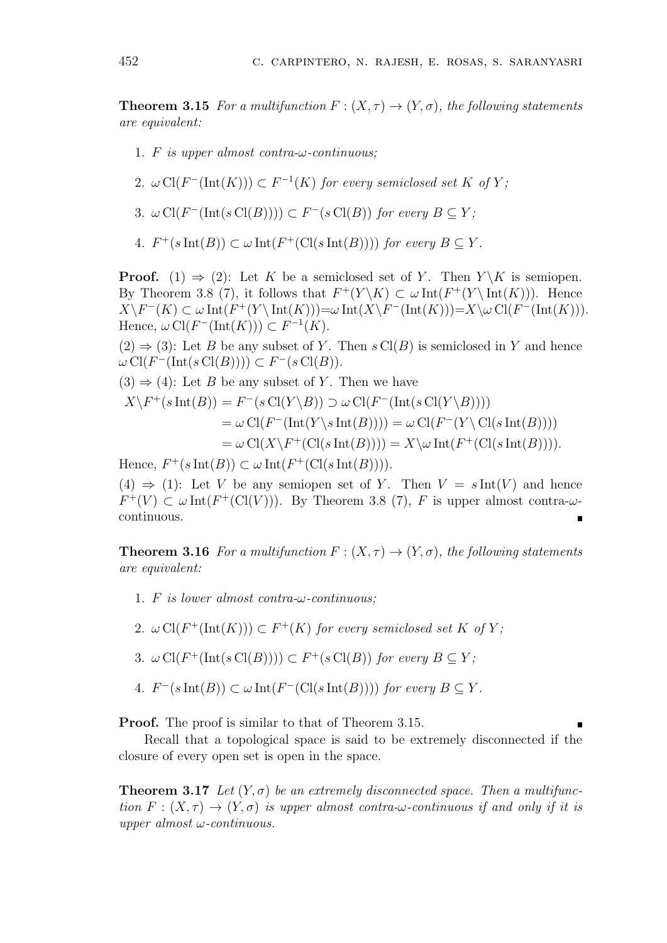**Theorem 3.15** *For a multifunction*  $F: (X, \tau) \to (Y, \sigma)$ *, the following statements are equivalent:*

- 1*. F is upper almost contra-ω-continuous;*
- 2*.*  $\omega$  Cl( $F^{-}(\text{Int}(K))$ )  $\subset F^{-1}(K)$  for every semiclosed set K of Y;
- 3*. ω* Cl(*F <sup>−</sup>*(Int(*s* Cl(*B*)))) *⊂ F <sup>−</sup>*(*s* Cl(*B*)) *for every B ⊆ Y ;*
- 4*.*  $F^+(s\operatorname{Int}(B)) \subset \omega \operatorname{Int}(F^+(\operatorname{Cl}(s\operatorname{Int}(B))))$  *for every*  $B \subseteq Y$ *.*

**Proof.** (1)  $\Rightarrow$  (2): Let *K* be a semiclosed set of *Y*. Then *Y*  $\setminus$  *K* is semiopen. By Theorem 3.8 (7), it follows that  $F^+(Y \setminus K) \subset \omega \text{Int}(F^+(Y \setminus \text{Int}(K)))$ . Hence  $X\backslash F^{-}(K) \subset \omega \operatorname{Int}(F^{+}(Y\backslash \operatorname{Int}(K)))=\omega \operatorname{Int}(X\backslash F^{-}(\operatorname{Int}(K)))=X\backslash \omega \operatorname{Cl}(F^{-}(\operatorname{Int}(K))).$  $Hence, \omega \operatorname{Cl}(F^-(\operatorname{Int}(K))) \subset F^{-1}(K).$ 

 $(2) \Rightarrow (3)$ : Let *B* be any subset of *Y*. Then *s* Cl(*B*) is semiclosed in *Y* and hence *ω* Cl(*F <sup>−</sup>*(Int(*s* Cl(*B*)))) *⊂ F <sup>−</sup>*(*s* Cl(*B*)).

 $(3) \Rightarrow (4)$ : Let *B* be any subset of *Y*. Then we have

$$
X \ F^+(s \ Int(B)) = F^-(s \ CI(Y \ B)) \supset \omega \ CI(F^-(\text{Int}(s \ CI(Y \ B))))
$$
  
=  $\omega \ CI(F^-(\text{Int}(Y \ s \ Int(B)))) = \omega \ CI(F^-(Y \ CI(s \ Int(B))))$   
=  $\omega \ CI(X \ F^+(\text{CI}(s \ Int(B)))) = X \omega \ Int(F^+(\text{CI}(s \ Int(B))))$ .

Hence,  $F^+(s\operatorname{Int}(B)) \subset \omega \operatorname{Int}(F^+(\operatorname{Cl}(s\operatorname{Int}(B))))$ .

(4)  $\Rightarrow$  (1): Let *V* be any semiopen set of *Y*. Then  $V = s \text{Int}(V)$  and hence  $F^+(V) \subset \omega \text{Int}(F^+(\text{Cl}(V)))$ . By Theorem 3.8 (7), *F* is upper almost contra- $\omega$ continuous.

**Theorem 3.16** *For a multifunction*  $F: (X, \tau) \to (Y, \sigma)$ *, the following statements are equivalent:*

- 1*. F is lower almost contra-ω-continuous;*
- 2*.*  $\omega$  Cl( $F^+(\text{Int}(K))$ )  $\subset$   $F^+(K)$  for every semiclosed set K of Y;
- 3*.*  $\omega$  Cl( $F^+(\text{Int}(s\text{Cl}(B)))) \subset F^+(s\text{Cl}(B))$  for every  $B \subseteq Y$ ;
- *A.*  $F^{-}(s \text{Int}(B)) \subset \omega \text{Int}(F^{-}(\text{Cl}(s \text{Int}(B))))$  for every  $B \subseteq Y$ .

**Proof.** The proof is similar to that of Theorem 3.15.

Recall that a topological space is said to be extremely disconnected if the closure of every open set is open in the space.

**Theorem 3.17** Let  $(Y, \sigma)$  be an extremely disconnected space. Then a multifunc*tion*  $F: (X, \tau) \to (Y, \sigma)$  *is upper almost contra-* $\omega$ *-continuous if and only if it is upper almost ω-continuous.*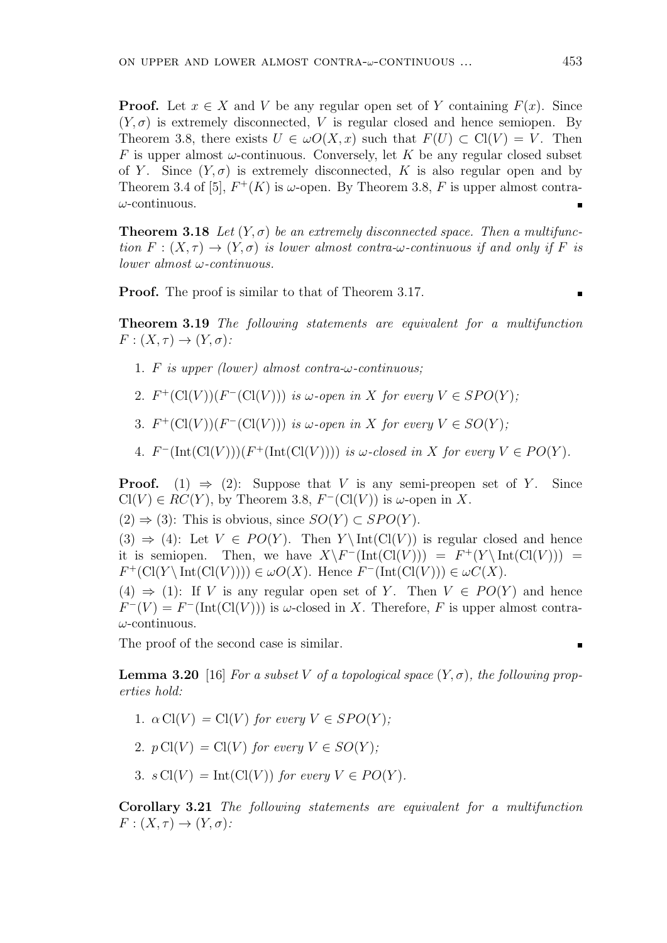**Proof.** Let  $x \in X$  and  $V$  be any regular open set of  $Y$  containing  $F(x)$ . Since  $(Y, \sigma)$  is extremely disconnected, V is regular closed and hence semiopen. By Theorem 3.8, there exists  $U \in \omega O(X, x)$  such that  $F(U) \subset \mathrm{Cl}(V) = V$ . Then *F* is upper almost  $\omega$ -continuous. Conversely, let *K* be any regular closed subset of *Y*. Since  $(Y, \sigma)$  is extremely disconnected, *K* is also regular open and by Theorem 3.4 of [5],  $F^+(K)$  is  $\omega$ -open. By Theorem 3.8, F is upper almost contra*ω*-continuous.

**Theorem 3.18** Let  $(Y, \sigma)$  be an extremely disconnected space. Then a multifunc*tion*  $F: (X, \tau) \to (Y, \sigma)$  *is lower almost contra-* $\omega$ *-continuous if and only if*  $F$  *is lower almost ω-continuous.*

**Proof.** The proof is similar to that of Theorem 3.17.

п

**Theorem 3.19** *The following statements are equivalent for a multifunction*  $F: (X, \tau) \rightarrow (Y, \sigma)$ :

- 1*. F is upper (lower) almost contra-ω-continuous;*
- 2*.*  $F^+(Cl(V))(F^-(Cl(V)))$  *is*  $\omega$ -open in *X* for every  $V \in SPO(Y)$ ;
- 3*.*  $F^+(Cl(V))(F^-(Cl(V)))$  *is*  $\omega$ -open in *X* for every  $V \in SO(Y)$ ;
- 4*.*  $F^{-}(\text{Int}(\text{Cl}(V)))(F^{+}(\text{Int}(\text{Cl}(V))))$  *is*  $\omega$ -closed in *X* for every  $V \in PO(Y)$ *.*

**Proof.** (1)  $\Rightarrow$  (2): Suppose that *V* is any semi-preopen set of *Y*. Since  $Cl(V) \in RC(Y)$ , by Theorem 3.8,  $F^{-}(Cl(V))$  is  $\omega$ -open in X.

 $(2)$   $\Rightarrow$   $(3)$ : This is obvious, since *SO*(*Y*) ⊂ *SPO*(*Y*).

 $(3) \Rightarrow (4)$ : Let  $V \in PO(Y)$ . Then  $Y \setminus Int(Cl(V))$  is regular closed and hence it is semiopen. Then, we have  $X\F^{-}(\text{Int}(\text{Cl}(V))) = F^+(Y\setminus \text{Int}(\text{Cl}(V))) =$  $F^+(Cl(Y \setminus Int(Cl(V)))) \in \omega O(X)$ . Hence  $F^-(Int(Cl(V))) \in \omega C(X)$ .

(4)  $\Rightarrow$  (1): If *V* is any regular open set of *Y*. Then  $V \in PO(Y)$  and hence  $F^{-}(V) = F^{-}(\text{Int}(\text{Cl}(V)))$  is *ω*-closed in *X*. Therefore, *F* is upper almost contra*ω*-continuous.

The proof of the second case is similar.

**Lemma 3.20** [16] *For a subset V of a topological space*  $(Y, \sigma)$ *, the following properties hold:*

- 1*.*  $\alpha$  Cl(*V*) = Cl(*V*) for every  $V \in SPO(Y)$ ;
- 2*.*  $p \text{Cl}(V) = \text{Cl}(V)$  *for every*  $V \in SO(Y)$ *;*
- 3*.*  $s \text{Cl}(V) = \text{Int}(\text{Cl}(V))$  *for every*  $V \in PO(Y)$ *.*

**Corollary 3.21** *The following statements are equivalent for a multifunction*  $F: (X, \tau) \rightarrow (Y, \sigma)$ :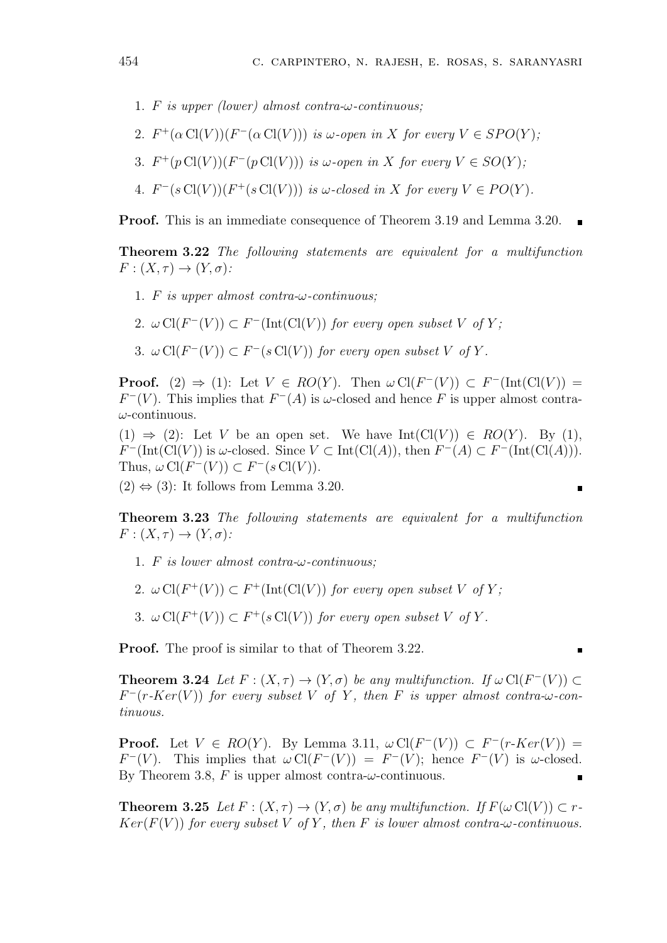- 1*. F is upper (lower) almost contra-ω-continuous;*
- 2*.*  $F^+(\alpha \operatorname{Cl}(V))(F^-(\alpha \operatorname{Cl}(V)))$  *is*  $\omega$ -open in *X* for every  $V \in SPO(Y)$ ;
- 3*.*  $F^+(p \text{Cl}(V))(F^-(p \text{Cl}(V)))$  *is*  $\omega$ -open in *X* for every  $V \in SO(Y)$ ;
- 4*.*  $F^-(s\operatorname{Cl}(V))(F^+(s\operatorname{Cl}(V)))$  *is*  $\omega$ -closed in *X* for every  $V \in PO(Y)$ *.*

**Proof.** This is an immediate consequence of Theorem 3.19 and Lemma 3.20.

**Theorem 3.22** *The following statements are equivalent for a multifunction*  $F: (X, \tau) \rightarrow (Y, \sigma)$ :

- 1*. F is upper almost contra-ω-continuous;*
- 2.  $\omega \operatorname{Cl}(F^{-}(V)) \subset F^{-}(\operatorname{Int}(\operatorname{Cl}(V))$  for every open subset V of Y;
- 3*.*  $\omega$  Cl( $F^{-}(V)$ )  $\subset F^{-}(s \text{Cl}(V))$  for every open subset V of Y.

**Proof.** (2)  $\Rightarrow$  (1): Let  $V \in RO(Y)$ . Then  $\omega \text{Cl}(F^{-}(V)) \subset F^{-}(\text{Int}(\text{Cl}(V)))$  =  $F^{-}(V)$ . This implies that  $F^{-}(A)$  is *ω*-closed and hence *F* is upper almost contra*ω*-continuous.

(1)  $\Rightarrow$  (2): Let *V* be an open set. We have Int(Cl(*V*))  $\in RO(Y)$ . By (1), *F*<sup>−</sup>(Int(Cl(*V*)) is *ω*-closed. Since *V* ⊂ Int(Cl(*A*)), then  $F^{-}(A) \subset F^{-}(\text{Int}(\text{Cl}(A))).$ Thus,  $\omega \operatorname{Cl}(F^-(V)) \subset F^-(s\operatorname{Cl}(V))$ .

 $\blacksquare$ 

 $(2) \Leftrightarrow (3)$ : It follows from Lemma 3.20.

**Theorem 3.23** *The following statements are equivalent for a multifunction*  $F: (X, \tau) \rightarrow (Y, \sigma)$ :

- 1*. F is lower almost contra-ω-continuous;*
- 2*.*  $\omega$  Cl( $F^+(V)$ )  $\subset$   $F^+$ (Int(Cl(V)) *for every open subset* V *of* Y;
- 3*.*  $\omega$  Cl( $F^+(V)$ )  $\subset F^+(s\text{Cl}(V))$  for every open subset V of Y.

**Proof.** The proof is similar to that of Theorem 3.22.

**Theorem 3.24** *Let*  $F : (X, \tau) \to (Y, \sigma)$  *be any multifunction. If*  $\omega \operatorname{Cl}(F^{-}(V)) \subset$  $F^-(r\text{-}Ker(V))$  *for every subset V of Y*, *then F is upper almost contra-* $\omega$ *-continuous.*

**Proof.** Let  $V \in RO(Y)$ . By Lemma 3.11,  $\omega \text{Cl}(F^{-}(V)) \subset F^{-}(r \text{-}Ker(V))$  $F^{-}(V)$ . This implies that  $\omega \text{Cl}(F^{-}(V)) = F^{-}(V)$ ; hence  $F^{-}(V)$  is  $\omega$ -closed. By Theorem 3.8,  $F$  is upper almost contra- $\omega$ -continuous.

**Theorem 3.25** *Let*  $F : (X, \tau) \to (Y, \sigma)$  *be any multifunction. If*  $F(\omega \text{Cl}(V)) \subset \tau$ *Ker*( $F(V)$ ) *for every subset*  $V$  *of*  $Y$ *, then*  $F$  *is lower almost contra-* $\omega$ *-continuous.*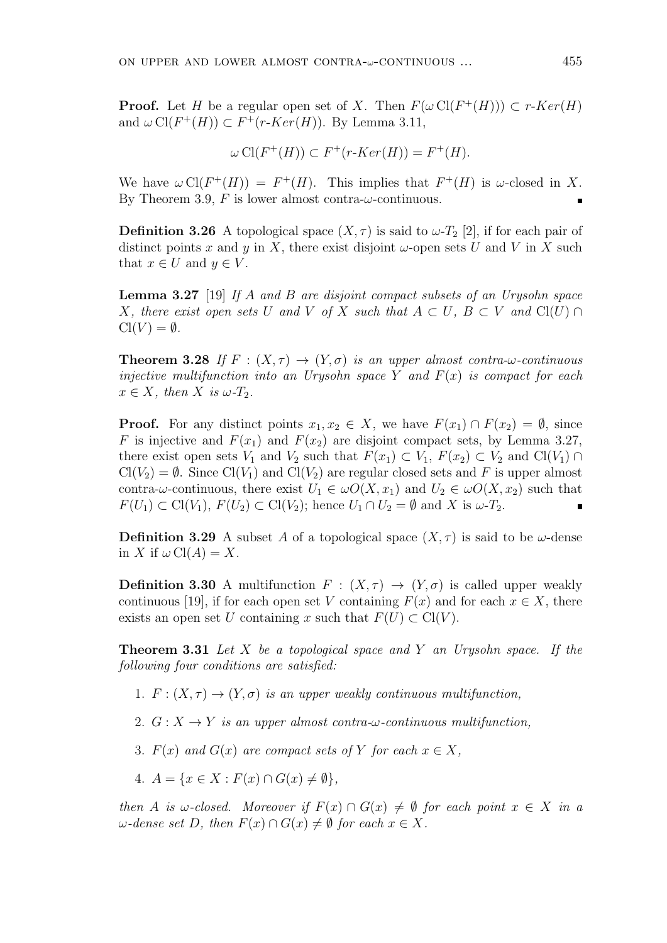**Proof.** Let *H* be a regular open set of *X*. Then  $F(\omega \operatorname{Cl}(F^+(H))) \subset r\text{-}Ker(H)$ and  $\omega$  Cl( $F^+(H)$ )  $\subset F^+(r\text{-}Ker(H))$ . By Lemma 3.11,

$$
\omega \operatorname{Cl}(F^+(H)) \subset F^+(r\text{-}Ker(H)) = F^+(H).
$$

We have  $\omega \text{Cl}(F^+(H)) = F^+(H)$ . This implies that  $F^+(H)$  is  $\omega$ -closed in X. By Theorem 3.9,  $F$  is lower almost contra- $\omega$ -continuous.

**Definition 3.26** A topological space  $(X, \tau)$  is said to  $\omega$ -*T*<sub>2</sub> [2], if for each pair of distinct points x and y in X, there exist disjoint  $\omega$ -open sets U and V in X such that  $x \in U$  and  $y \in V$ .

**Lemma 3.27** [19] *If A and B are disjoint compact subsets of an Urysohn space X, there exist open sets U and V of X such that*  $A \subset U$ *,*  $B \subset V$  *and*  $Cl(U) \cap V$  $Cl(V) = \emptyset$ .

**Theorem 3.28** *If*  $F : (X, \tau) \to (Y, \sigma)$  *is an upper almost contra-* $\omega$ *-continuous injective multifunction into an Urysohn space Y and F*(*x*) *is compact for each*  $x \in X$ *, then*  $X$  *is*  $\omega$ *-T*<sub>2</sub>*.* 

**Proof.** For any distinct points  $x_1, x_2 \in X$ , we have  $F(x_1) \cap F(x_2) = \emptyset$ , since *F* is injective and  $F(x_1)$  and  $F(x_2)$  are disjoint compact sets, by Lemma 3.27, there exist open sets  $V_1$  and  $V_2$  such that  $F(x_1) \subset V_1$ ,  $F(x_2) \subset V_2$  and  $Cl(V_1) \cap$  $Cl(V_2) = \emptyset$ . Since  $Cl(V_1)$  and  $Cl(V_2)$  are regular closed sets and F is upper almost contra-*ω*-continuous, there exist  $U_1 \in \omega O(X, x_1)$  and  $U_2 \in \omega O(X, x_2)$  such that  $F(U_1) \subset Cl(V_1)$ ,  $F(U_2) \subset Cl(V_2)$ ; hence  $U_1 \cap U_2 = \emptyset$  and X is  $\omega$ -*T*<sub>2</sub>.

**Definition 3.29** A subset *A* of a topological space  $(X, \tau)$  is said to be *ω*-dense in *X* if  $\omega$  Cl(*A*) = *X*.

**Definition 3.30** A multifunction  $F : (X, \tau) \to (Y, \sigma)$  is called upper weakly continuous [19], if for each open set *V* containing  $F(x)$  and for each  $x \in X$ , there exists an open set *U* containing *x* such that  $F(U) \subset \mathrm{Cl}(V)$ .

**Theorem 3.31** *Let X be a topological space and Y an Urysohn space. If the following four conditions are satisfied:*

- 1*.*  $F: (X, \tau) \to (Y, \sigma)$  *is an upper weakly continuous multifunction,*
- 2*.*  $G: X \rightarrow Y$  *is an upper almost contra-* $\omega$ *-continuous multifunction,*
- 3*.*  $F(x)$  and  $G(x)$  are compact sets of Y for each  $x \in X$ ,
- $4. A = \{x \in X : F(x) \cap G(x) \neq \emptyset\},\$

*then A is*  $\omega$ -closed. Moreover if  $F(x) \cap G(x) \neq \emptyset$  for each point  $x \in X$  in a  $\omega$ *-dense set D, then*  $F(x) \cap G(x) \neq \emptyset$  for each  $x \in X$ *.*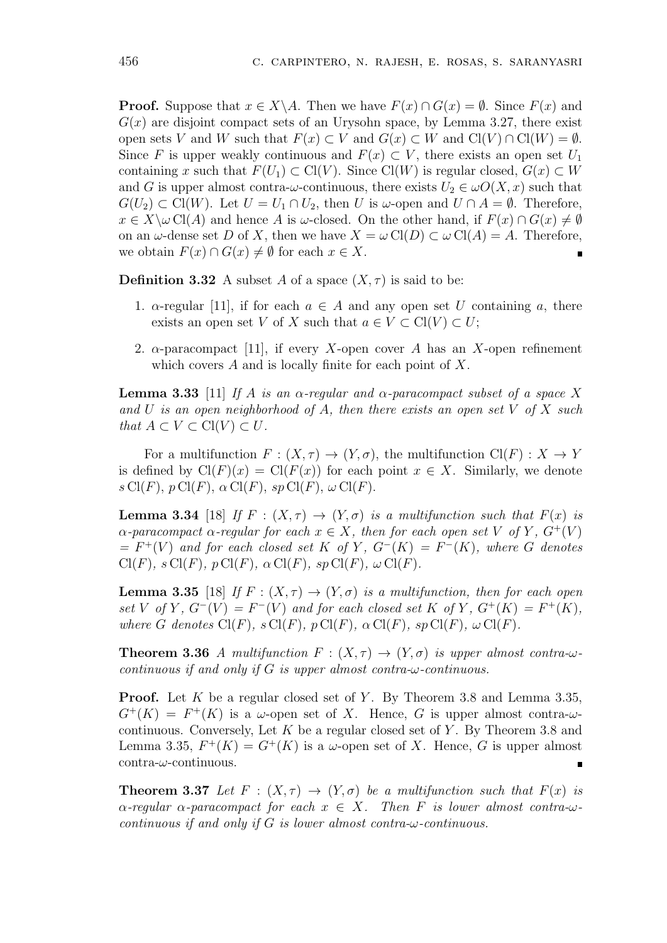**Proof.** Suppose that  $x \in X \setminus A$ . Then we have  $F(x) \cap G(x) = \emptyset$ . Since  $F(x)$  and  $G(x)$  are disjoint compact sets of an Urysohn space, by Lemma 3.27, there exist open sets *V* and *W* such that  $F(x) \subset V$  and  $G(x) \subset W$  and  $Cl(V) \cap Cl(W) = \emptyset$ . Since *F* is upper weakly continuous and  $F(x) \subset V$ , there exists an open set  $U_1$ containing *x* such that  $F(U_1) \subset \mathrm{Cl}(V)$ . Since  $\mathrm{Cl}(W)$  is regular closed,  $G(x) \subset W$ and *G* is upper almost contra- $\omega$ -continuous, there exists  $U_2 \in \omega O(X, x)$  such that *G*(*U*<sub>2</sub>) ⊂ Cl(*W*). Let *U* = *U*<sub>1</sub> ∩ *U*<sub>2</sub>, then *U* is *ω*-open and *U* ∩ *A* =  $\emptyset$ . Therefore,  $x \in X \setminus \omega$  Cl(*A*) and hence *A* is  $\omega$ -closed. On the other hand, if  $F(x) \cap G(x) \neq \emptyset$ on an  $\omega$ -dense set *D* of *X*, then we have  $X = \omega C(I) \subset \omega C(I) = A$ . Therefore, we obtain  $F(x) \cap G(x) \neq \emptyset$  for each  $x \in X$ .  $\blacksquare$ 

**Definition 3.32** A subset A of a space  $(X, \tau)$  is said to be:

- 1.  $\alpha$ -regular [11], if for each  $a \in A$  and any open set *U* containing *a*, there exists an open set *V* of *X* such that  $a \in V \subset \mathrm{Cl}(V) \subset U$ ;
- 2. *α*-paracompact [11], if every *X*-open cover *A* has an *X*-open refinement which covers *A* and is locally finite for each point of *X*.

**Lemma 3.33** [11] *If A is an α-regular and α-paracompact subset of a space X and U is an open neighborhood of A, then there exists an open set V of X such that*  $A \subset V \subset \mathrm{Cl}(V) \subset U$ .

For a multifunction  $F : (X, \tau) \to (Y, \sigma)$ , the multifunction  $Cl(F) : X \to Y$ is defined by  $Cl(F)(x) = Cl(F(x))$  for each point  $x \in X$ . Similarly, we denote  $s \text{ Cl}(F)$ ,  $p \text{ Cl}(F)$ ,  $\alpha \text{ Cl}(F)$ ,  $sp \text{ Cl}(F)$ ,  $\omega \text{ Cl}(F)$ .

**Lemma 3.34** [18] *If*  $F : (X, \tau) \to (Y, \sigma)$  *is a multifunction such that*  $F(x)$  *is α-paracompact α-regular for each x*  $\in$  *X, then for each open set V of Y,*  $G^+(V)$  $F^+(V)$  *and for each closed set*  $K$  *of*  $Y$ *,*  $G^-(K) = F^-(K)$ *, where*  $G$  *denotes*  $Cl(F)$ *,*  $s Cl(F)$ *,*  $p Cl(F)$ *,*  $\alpha Cl(F)$ *,*  $sp Cl(F)$ *,*  $\omega Cl(F)$ *.* 

**Lemma 3.35** [18] *If*  $F : (X, \tau) \to (Y, \sigma)$  *is a multifunction, then for each open* set V of Y,  $G^{-}(V) = F^{-}(V)$  and for each closed set K of Y,  $G^{+}(K) = F^{+}(K)$ , *where G* denotes  $Cl(F)$ *,*  $s Cl(F)$ *,*  $p Cl(F)$ *,*  $\alpha Cl(F)$ *,*  $sp Cl(F)$ *,*  $\omega Cl(F)$ *.* 

**Theorem 3.36** *A multifunction*  $F : (X, \tau) \rightarrow (Y, \sigma)$  *is upper almost contra-* $\omega$ *continuous if and only if G is upper almost contra-ω-continuous.*

**Proof.** Let *K* be a regular closed set of *Y*. By Theorem 3.8 and Lemma 3.35,  $G^+(K) = F^+(K)$  is a *ω*-open set of X. Hence, G is upper almost contra- $\omega$ continuous. Conversely, Let *K* be a regular closed set of *Y* . By Theorem 3.8 and Lemma 3.35,  $F^+(K) = G^+(K)$  is a  $\omega$ -open set of X. Hence, G is upper almost contra-*ω*-continuous.

**Theorem 3.37** Let  $F : (X, \tau) \to (Y, \sigma)$  be a multifunction such that  $F(x)$  is  $\alpha$ -regular  $\alpha$ -paracompact for each  $x \in X$ . Then F is lower almost contra- $\omega$ *continuous if and only if G is lower almost contra-ω-continuous.*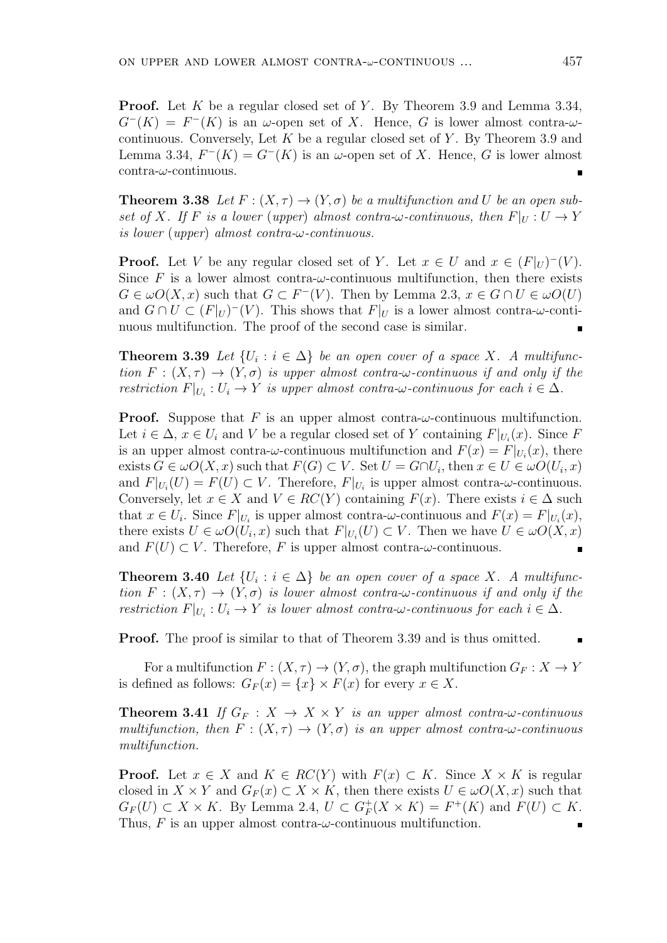**Proof.** Let *K* be a regular closed set of *Y*. By Theorem 3.9 and Lemma 3.34,  $G^{-}(K) = F^{-}(K)$  is an *ω*-open set of *X*. Hence, *G* is lower almost contra-*ω*continuous. Conversely, Let *K* be a regular closed set of *Y* . By Theorem 3.9 and Lemma 3.34,  $F^{-}(K) = G^{-}(K)$  is an  $\omega$ -open set of X. Hence, G is lower almost contra-*ω*-continuous.

**Theorem 3.38** Let  $F : (X, \tau) \to (Y, \sigma)$  be a multifunction and U be an open sub*set of X. If F is a lower* (*upper*) *almost contra-* $\omega$ *-continuous, then*  $F|_U : U \to Y$ *is lower* (*upper*) *almost contra-ω-continuous.*

**Proof.** Let *V* be any regular closed set of *Y*. Let  $x \in U$  and  $x \in (F|_U)^{-1}(V)$ . Since F is a lower almost contra- $\omega$ -continuous multifunction, then there exists *G* ∈  $\omega$ *O*(*X*, *x*) such that *G* ⊂ *F*<sup>−</sup>(*V*). Then by Lemma 2.3, *x* ∈ *G* ∩ *U* ∈  $\omega$ *O*(*U*) and  $G \cap U \subset (F|_U)^{-1}(V)$ . This shows that  $F|_U$  is a lower almost contra- $\omega$ -continuous multifunction. The proof of the second case is similar. ٠

**Theorem 3.39** *Let*  $\{U_i : i \in \Delta\}$  *be an open cover of a space X. A multifunction*  $F: (X, \tau) \to (Y, \sigma)$  *is upper almost contra-* $\omega$ *-continuous if and only if the restriction*  $F|_{U_i}: U_i \to Y$  *is upper almost contra-* $\omega$ *-continuous for each*  $i \in \Delta$ *.* 

**Proof.** Suppose that  $F$  is an upper almost contra- $\omega$ -continuous multifunction. Let  $i \in \Delta$ ,  $x \in U_i$  and  $V$  be a regular closed set of  $Y$  containing  $F|_{U_i}(x)$ . Since  $F$ is an upper almost contra- $\omega$ -continuous multifunction and  $F(x) = F|_{U_i}(x)$ , there exists  $G \in \omega O(X, x)$  such that  $F(G) \subset V$ . Set  $U = G \cap U_i$ , then  $x \in U \in \omega O(U_i, x)$ and  $F|_{U_i}(U) = F(U) \subset V$ . Therefore,  $F|_{U_i}$  is upper almost contra- $\omega$ -continuous. Conversely, let  $x \in X$  and  $V \in RC(Y)$  containing  $F(x)$ . There exists  $i \in \Delta$  such that  $x \in U_i$ . Since  $F|_{U_i}$  is upper almost contra- $\omega$ -continuous and  $F(x) = F|_{U_i}(x)$ , there exists  $U \in \omega O(U_i, x)$  such that  $F|_{U_i}(U) \subset V$ . Then we have  $U \in \omega O(X, x)$ and  $F(U) \subset V$ . Therefore, F is upper almost contra- $\omega$ -continuous.  $\blacksquare$ 

**Theorem 3.40** *Let*  $\{U_i : i \in \Delta\}$  *be an open cover of a space X. A multifunction*  $F: (X, \tau) \to (Y, \sigma)$  *is lower almost contra-* $\omega$ *-continuous if and only if the restriction*  $F|_{U_i}: U_i \to Y$  *is lower almost contra-* $\omega$ -*continuous for each*  $i \in \Delta$ *.* 

**Proof.** The proof is similar to that of Theorem 3.39 and is thus omitted.

For a multifunction  $F: (X, \tau) \to (Y, \sigma)$ , the graph multifunction  $G_F: X \to Y$ is defined as follows:  $G_F(x) = \{x\} \times F(x)$  for every  $x \in X$ .

**Theorem 3.41** *If*  $G_F : X \to X \times Y$  *is an upper almost contra-* $\omega$ *-continuous multifunction, then*  $F: (X, \tau) \to (Y, \sigma)$  *is an upper almost contra-* $\omega$ *-continuous multifunction.*

**Proof.** Let  $x \in X$  and  $K \in RC(Y)$  with  $F(x) \subset K$ . Since  $X \times K$  is regular closed in  $X \times Y$  and  $G_F(x) \subset X \times K$ , then there exists  $U \in \omega O(X, x)$  such that  $G_F(U)$  ⊂ *X* × *K*. By Lemma 2.4,  $U \subset G_F^+$  $F_F^+(X \times K) = F^+(K)$  and  $F(U) \subset K$ . Thus,  $F$  is an upper almost contra- $\omega$ -continuous multifunction. п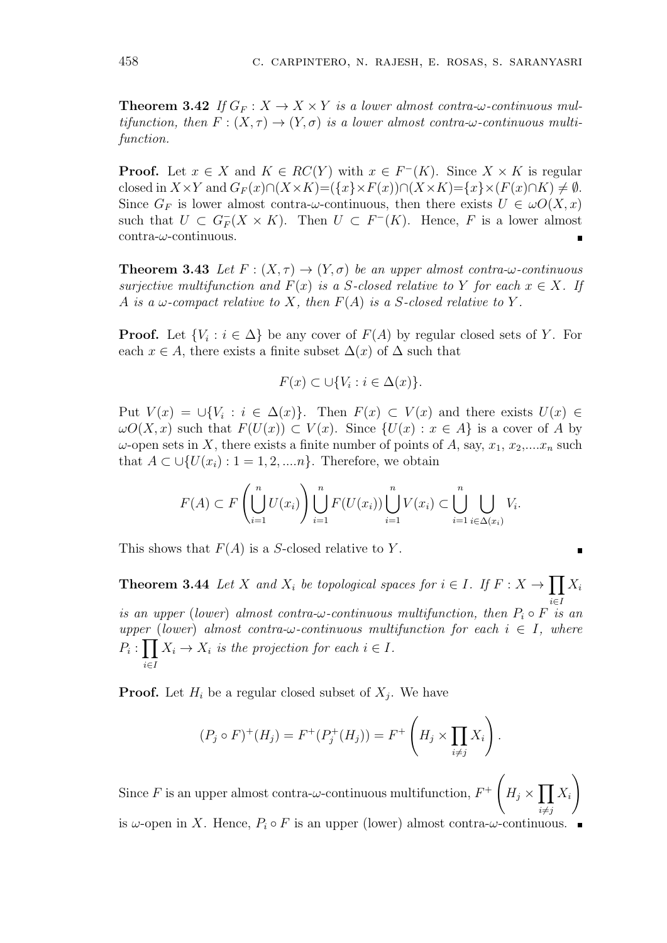**Theorem 3.42** *If*  $G_F: X \to X \times Y$  *is a lower almost contra-* $\omega$ *-continuous multifunction, then*  $F: (X, \tau) \to (Y, \sigma)$  *is a lower almost contra-* $\omega$ *-continuous multifunction.*

**Proof.** Let  $x \in X$  and  $K \in RC(Y)$  with  $x \in F^{-}(K)$ . Since  $X \times K$  is regular closed in  $X \times Y$  and  $G_F(x) \cap (X \times K) = (\{x\} \times F(x)) \cap (X \times K) = \{x\} \times (F(x) \cap K) \neq \emptyset$ . Since  $G_F$  is lower almost contra-*ω*-continuous, then there exists  $U \in \omegaO(X, x)$ such that  $U \subset G_F^-(X \times K)$ . Then  $U \subset F^-(K)$ . Hence,  $F$  is a lower almost contra-*ω*-continuous.

**Theorem 3.43** Let  $F : (X, \tau) \to (Y, \sigma)$  be an upper almost contra- $\omega$ -continuous *surjective multifunction and*  $F(x)$  *is a S*-closed relative to *Y for each*  $x \in X$ *. If A is a*  $\omega$ -compact relative to *X*, then  $F(A)$  *is a S*-closed relative to *Y*.

**Proof.** Let  $\{V_i : i \in \Delta\}$  be any cover of  $F(A)$  by regular closed sets of *Y*. For each  $x \in A$ , there exists a finite subset  $\Delta(x)$  of  $\Delta$  such that

$$
F(x) \subset \cup \{V_i : i \in \Delta(x)\}.
$$

Put  $V(x) = \bigcup \{V_i : i \in \Delta(x)\}\$ . Then  $F(x) \subset V(x)$  and there exists  $U(x) \in$  $\omega O(X, x)$  such that  $F(U(x)) \subset V(x)$ . Since  $\{U(x) : x \in A\}$  is a cover of *A* by  $\omega$ -open sets in *X*, there exists a finite number of points of *A*, say,  $x_1, x_2,...x_n$  such that  $A \subset \bigcup \{U(x_i) : 1 = 1, 2, \ldots n\}$ . Therefore, we obtain

$$
F(A) \subset F\left(\bigcup_{i=1}^n U(x_i)\right) \bigcup_{i=1}^n F(U(x_i)) \bigcup_{i=1}^n V(x_i) \subset \bigcup_{i=1}^n \bigcup_{i \in \Delta(x_i)} V_i.
$$

п

This shows that *F*(*A*) is a *S*-closed relative to *Y* .

**Theorem 3.44** *Let X and*  $X_i$  *be topological spaces for*  $i \in I$ *. If*  $F : X \to \prod X_i$ *i∈I is an upper* (*lower*) *almost contra-* $\omega$ *-continuous multifunction, then*  $P_i \circ F$  *is an upper* (*lower*) *almost contra-* $\omega$ -*continuous multifunction for each*  $i \in I$ *, where*  $P_i: \prod X_i \to X_i$  *is the projection for each*  $i \in I$ *. i∈I*

**Proof.** Let  $H_i$  be a regular closed subset of  $X_j$ . We have

$$
(P_j \circ F)^+(H_j) = F^+(P_j^+(H_j)) = F^+\left(H_j \times \prod_{i \neq j} X_i\right).
$$

Since  $F$  is an upper almost contra- $\omega$ -continuous multifunction,  $F^+$  $\sqrt{ }$  $H_j \times \prod X_i$ *i*≠*j*  $\setminus$ is  $\omega$ -open in *X*. Hence,  $P_i \circ F$  is an upper (lower) almost contra- $\omega$ -continuous.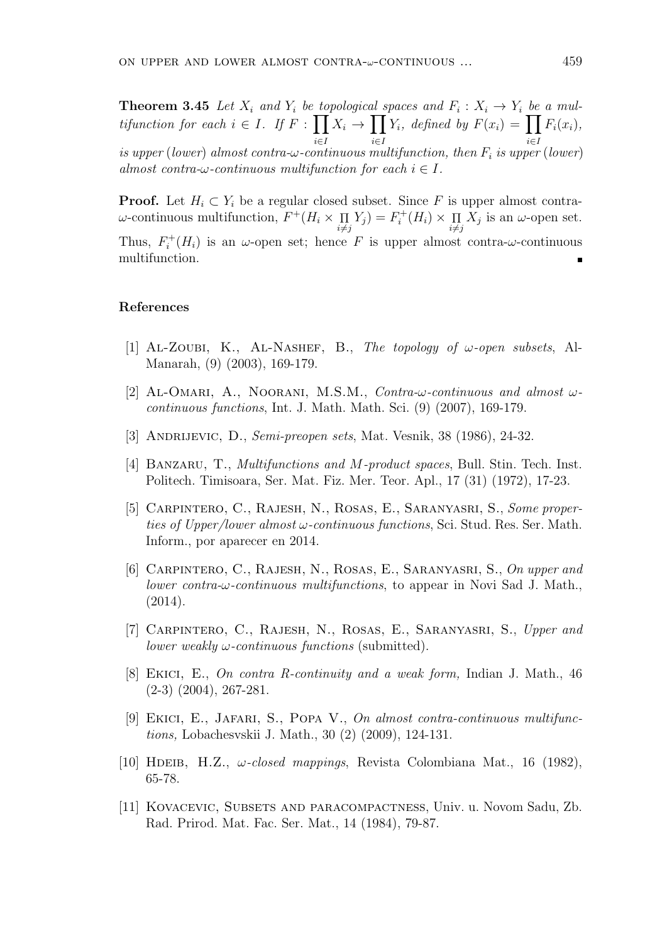**Theorem 3.45** *Let*  $X_i$  *and*  $Y_i$  *be topological spaces and*  $F_i: X_i \to Y_i$  *be a multifunction for each*  $i \in I$ *. If*  $F : \prod$ *i∈I X<sup>i</sup> →* ∏ *i∈I Y*<sub>*i*</sub>*, defined by*  $F(x_i) = \prod$ *i∈I*  $F_i(x_i)$ , *is upper* (*lower*) *almost contra-ω-continuous multifunction, then F<sup>i</sup> is upper* (*lower*) *almost contra-* $\omega$ *-continuous multifunction for each*  $i \in I$ .

**Proof.** Let  $H_i \subset Y_i$  be a regular closed subset. Since F is upper almost contra*ω*-continuous multifunction, *F* <sup>+</sup>(*H<sup>i</sup> ×* Π  $i \neq j$  $Y_j$ *)* =  $F_i^+$  $\prod_i^+(H_i) \times \prod_i$  $i \neq j$  $X_j$  is an  $\omega$ -open set. Thus,  $F_i^+$  $\chi_i^+(H_i)$  is an *ω*-open set; hence *F* is upper almost contra-*ω*-continuous multifunction.

#### **References**

- [1] Al-Zoubi, K., Al-Nashef, B., *The topology of ω-open subsets*, Al-Manarah, (9) (2003), 169-179.
- [2] AL-OMARI, A., NOORANI, M.S.M., *Contra-* $\omega$ *-continuous and almost*  $\omega$ *continuous functions*, Int. J. Math. Math. Sci. (9) (2007), 169-179.
- [3] Andrijevic, D., *Semi-preopen sets*, Mat. Vesnik, 38 (1986), 24-32.
- [4] Banzaru, T., *Multifunctions and M-product spaces*, Bull. Stin. Tech. Inst. Politech. Timisoara, Ser. Mat. Fiz. Mer. Teor. Apl., 17 (31) (1972), 17-23.
- [5] Carpintero, C., Rajesh, N., Rosas, E., Saranyasri, S., *Some properties of Upper/lower almost ω-continuous functions*, Sci. Stud. Res. Ser. Math. Inform., por aparecer en 2014.
- [6] Carpintero, C., Rajesh, N., Rosas, E., Saranyasri, S., *On upper and lower contra-ω-continuous multifunctions*, to appear in Novi Sad J. Math., (2014).
- [7] Carpintero, C., Rajesh, N., Rosas, E., Saranyasri, S., *Upper and lower weakly ω-continuous functions* (submitted).
- [8] Ekici, E., *On contra R-continuity and a weak form,* Indian J. Math., 46 (2-3) (2004), 267-281.
- [9] Ekici, E., Jafari, S., Popa V., *On almost contra-continuous multifunctions,* Lobachesvskii J. Math., 30 (2) (2009), 124-131.
- [10] HDEIB, H.Z.,  $\omega$ *-closed mappings*, Revista Colombiana Mat., 16 (1982), 65-78.
- [11] Kovacevic, Subsets and paracompactness, Univ. u. Novom Sadu, Zb. Rad. Prirod. Mat. Fac. Ser. Mat., 14 (1984), 79-87.